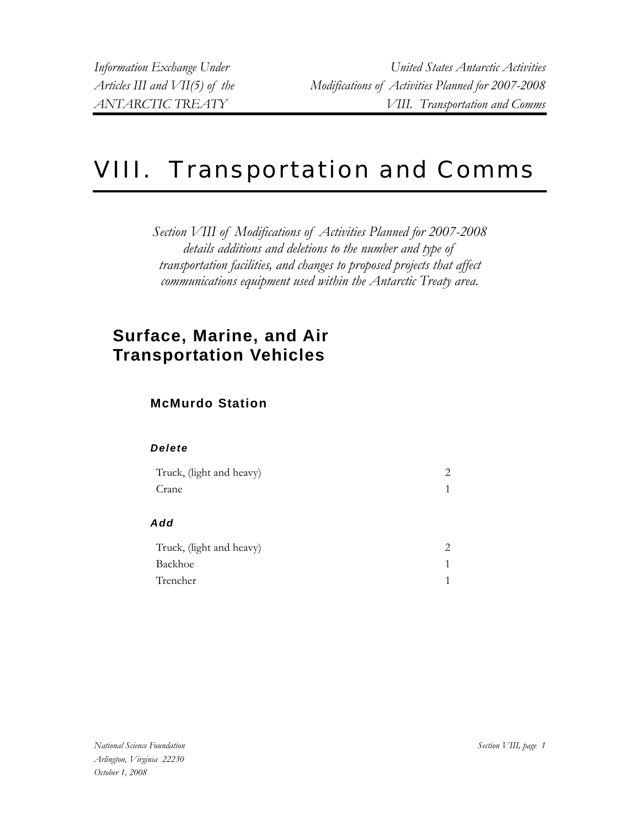# VIII. Transportation and Comms

*Section VIII of Modifications of Activities Planned for 2007-2008 details additions and deletions to the number and type of transportation facilities, and changes to proposed projects that affect communications equipment used within the Antarctic Treaty area.* 

## **Surface, Marine, and Air Transportation Vehicles**

### **McMurdo Station**

| Truck, (light and heavy) | 2 |
|--------------------------|---|
| Crane                    | 1 |
| Add                      |   |
| Truck, (light and heavy) | 2 |
| Backhoe                  | 1 |
| Trencher                 |   |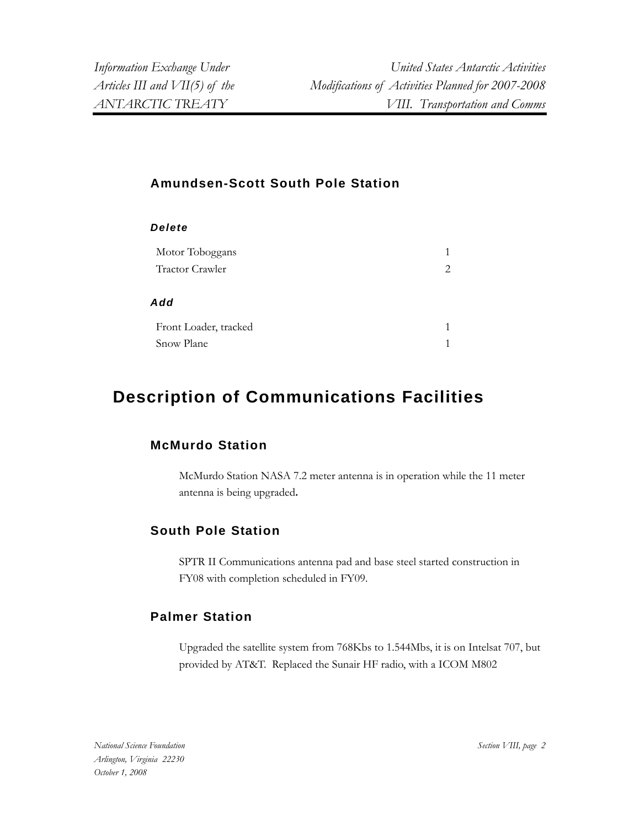#### **Amundsen-Scott South Pole Station**

| Delete                                     |        |
|--------------------------------------------|--------|
| Motor Toboggans                            | 1      |
| <b>Tractor Crawler</b>                     | 2      |
| Add<br>Front Loader, tracked<br>Snow Plane | 1<br>1 |

### **Description of Communications Facilities**

#### **McMurdo Station**

McMurdo Station NASA 7.2 meter antenna is in operation while the 11 meter antenna is being upgraded**.**

### **South Pole Station**

SPTR II Communications antenna pad and base steel started construction in FY08 with completion scheduled in FY09.

### **Palmer Station**

Upgraded the satellite system from 768Kbs to 1.544Mbs, it is on Intelsat 707, but provided by AT&T. Replaced the Sunair HF radio, with a ICOM M802